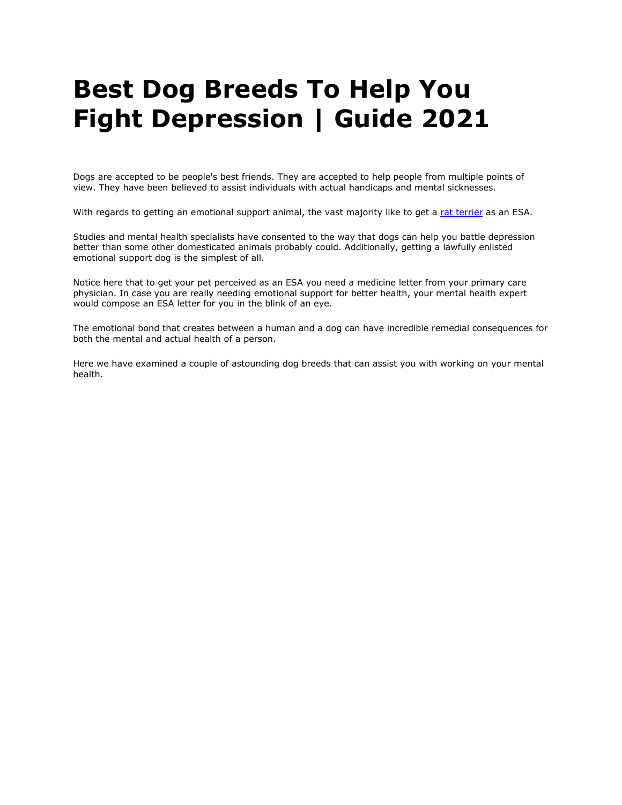# **Best Dog Breeds To Help You Fight Depression | Guide 2021**

Dogs are accepted to be people's best friends. They are accepted to help people from multiple points of view. They have been believed to assist individuals with actual handicaps and mental sicknesses.

With regards to getting an emotional support animal, the vast majority like to get a [rat terrier](https://www.realesaletter.com/blog/dog-breeds/rat-terrier) as an ESA.

Studies and mental health specialists have consented to the way that dogs can help you battle depression better than some other domesticated animals probably could. Additionally, getting a lawfully enlisted emotional support dog is the simplest of all.

Notice here that to get your pet perceived as an ESA you need a medicine letter from your primary care physician. In case you are really needing emotional support for better health, your mental health expert would compose an ESA letter for you in the blink of an eye.

The emotional bond that creates between a human and a dog can have incredible remedial consequences for both the mental and actual health of a person.

Here we have examined a couple of astounding dog breeds that can assist you with working on your mental health.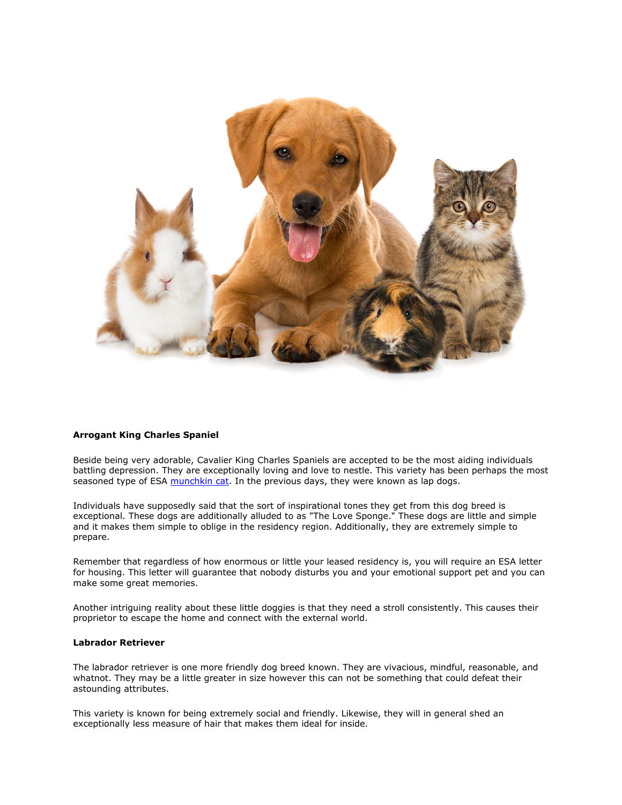

# **Arrogant King Charles Spaniel**

Beside being very adorable, Cavalier King Charles Spaniels are accepted to be the most aiding individuals battling depression. They are exceptionally loving and love to nestle. This variety has been perhaps the most seasoned type of ESA [munchkin cat.](https://www.realesaletter.com/blog/cat-breeds/munchkin-cat) In the previous days, they were known as lap dogs.

Individuals have supposedly said that the sort of inspirational tones they get from this dog breed is exceptional. These dogs are additionally alluded to as "The Love Sponge." These dogs are little and simple and it makes them simple to oblige in the residency region. Additionally, they are extremely simple to prepare.

Remember that regardless of how enormous or little your leased residency is, you will require an ESA letter for housing. This letter will guarantee that nobody disturbs you and your emotional support pet and you can make some great memories.

Another intriguing reality about these little doggies is that they need a stroll consistently. This causes their proprietor to escape the home and connect with the external world.

## **Labrador Retriever**

The labrador retriever is one more friendly dog breed known. They are vivacious, mindful, reasonable, and whatnot. They may be a little greater in size however this can not be something that could defeat their astounding attributes.

This variety is known for being extremely social and friendly. Likewise, they will in general shed an exceptionally less measure of hair that makes them ideal for inside.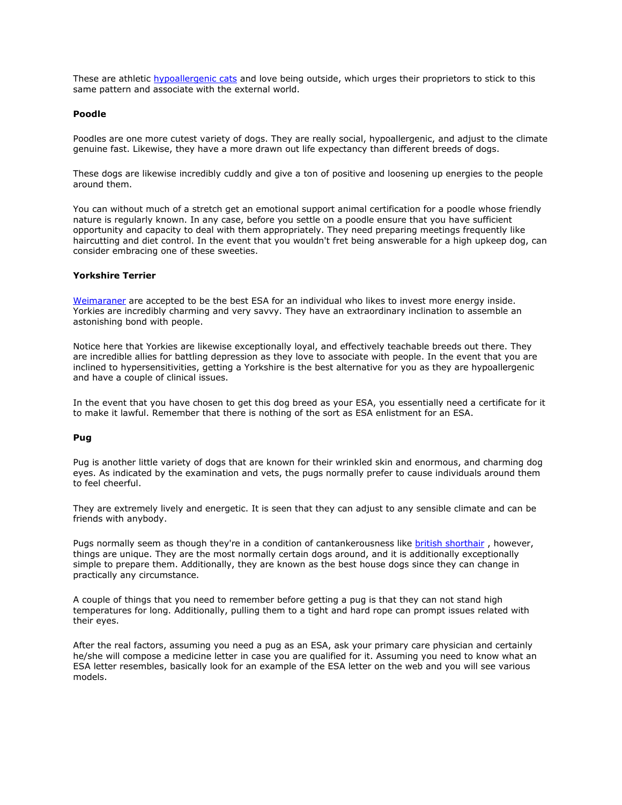These are athletic [hypoallergenic cats](https://www.realesaletter.com/blog/hypoallergenic-cats) and love being outside, which urges their proprietors to stick to this same pattern and associate with the external world.

#### **Poodle**

Poodles are one more cutest variety of dogs. They are really social, hypoallergenic, and adjust to the climate genuine fast. Likewise, they have a more drawn out life expectancy than different breeds of dogs.

These dogs are likewise incredibly cuddly and give a ton of positive and loosening up energies to the people around them.

You can without much of a stretch get an emotional support animal certification for a poodle whose friendly nature is regularly known. In any case, before you settle on a poodle ensure that you have sufficient opportunity and capacity to deal with them appropriately. They need preparing meetings frequently like haircutting and diet control. In the event that you wouldn't fret being answerable for a high upkeep dog, can consider embracing one of these sweeties.

### **Yorkshire Terrier**

[Weimaraner](https://www.realesaletter.com/blog/weimaraner) are accepted to be the best ESA for an individual who likes to invest more energy inside. Yorkies are incredibly charming and very savvy. They have an extraordinary inclination to assemble an astonishing bond with people.

Notice here that Yorkies are likewise exceptionally loyal, and effectively teachable breeds out there. They are incredible allies for battling depression as they love to associate with people. In the event that you are inclined to hypersensitivities, getting a Yorkshire is the best alternative for you as they are hypoallergenic and have a couple of clinical issues.

In the event that you have chosen to get this dog breed as your ESA, you essentially need a certificate for it to make it lawful. Remember that there is nothing of the sort as ESA enlistment for an ESA.

#### **Pug**

Pug is another little variety of dogs that are known for their wrinkled skin and enormous, and charming dog eyes. As indicated by the examination and vets, the pugs normally prefer to cause individuals around them to feel cheerful.

They are extremely lively and energetic. It is seen that they can adjust to any sensible climate and can be friends with anybody.

Pugs normally seem as though they're in a condition of cantankerousness like [british shorthair](https://www.realesaletter.com/blog/cat-breeds/british-shorthair) , however, things are unique. They are the most normally certain dogs around, and it is additionally exceptionally simple to prepare them. Additionally, they are known as the best house dogs since they can change in practically any circumstance.

A couple of things that you need to remember before getting a pug is that they can not stand high temperatures for long. Additionally, pulling them to a tight and hard rope can prompt issues related with their eyes.

After the real factors, assuming you need a pug as an ESA, ask your primary care physician and certainly he/she will compose a medicine letter in case you are qualified for it. Assuming you need to know what an ESA letter resembles, basically look for an example of the ESA letter on the web and you will see various models.